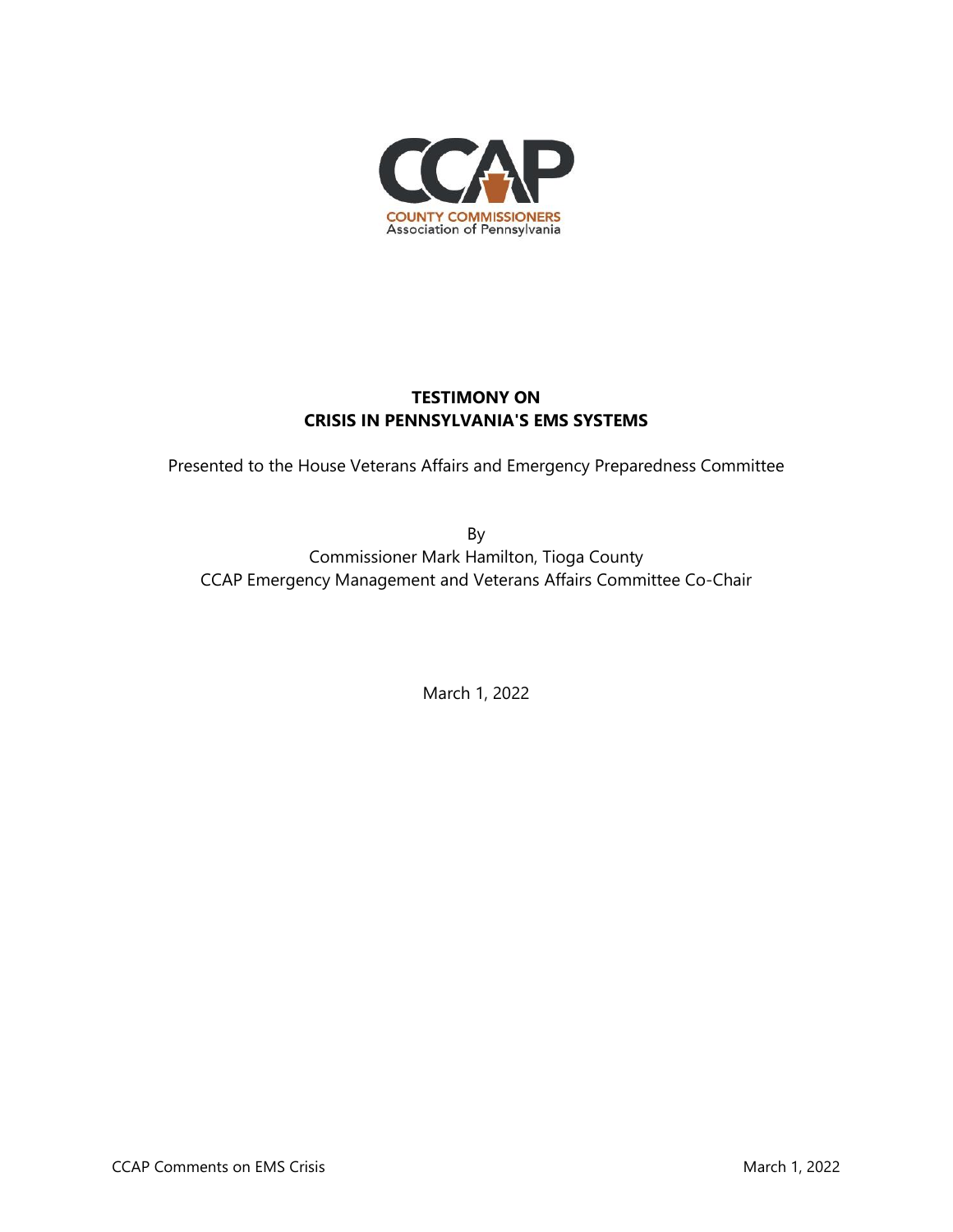

## **TESTIMONY ON CRISIS IN PENNSYLVANIA'S EMS SYSTEMS**

Presented to the House Veterans Affairs and Emergency Preparedness Committee

By Commissioner Mark Hamilton, Tioga County CCAP Emergency Management and Veterans Affairs Committee Co-Chair

March 1, 2022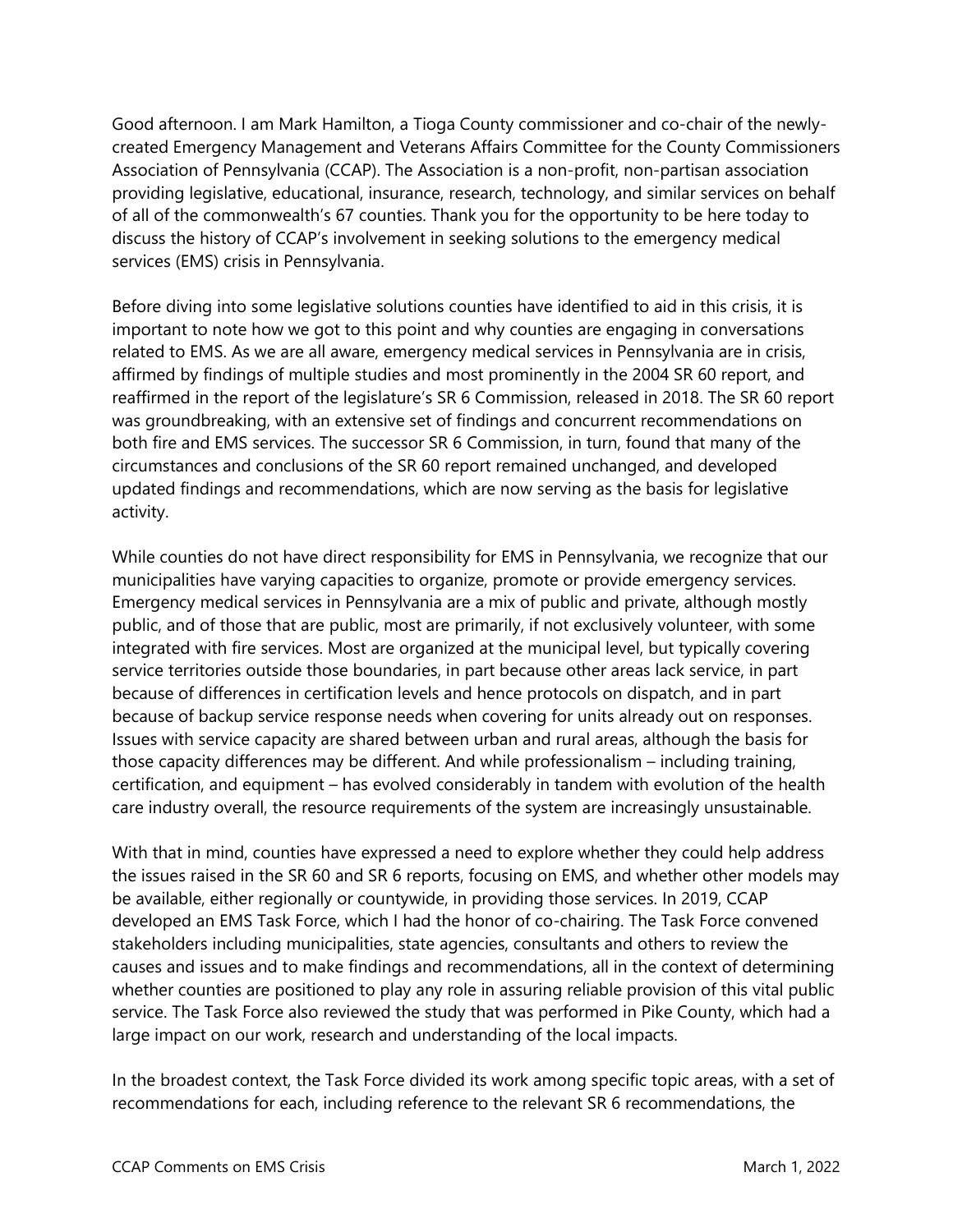Good afternoon. I am Mark Hamilton, a Tioga County commissioner and co-chair of the newlycreated Emergency Management and Veterans Affairs Committee for the County Commissioners Association of Pennsylvania (CCAP). The Association is a non-profit, non-partisan association providing legislative, educational, insurance, research, technology, and similar services on behalf of all of the commonwealth's 67 counties. Thank you for the opportunity to be here today to discuss the history of CCAP's involvement in seeking solutions to the emergency medical services (EMS) crisis in Pennsylvania.

Before diving into some legislative solutions counties have identified to aid in this crisis, it is important to note how we got to this point and why counties are engaging in conversations related to EMS. As we are all aware, emergency medical services in Pennsylvania are in crisis, affirmed by findings of multiple studies and most prominently in the 2004 SR 60 report, and reaffirmed in the report of the legislature's SR 6 Commission, released in 2018. The SR 60 report was groundbreaking, with an extensive set of findings and concurrent recommendations on both fire and EMS services. The successor SR 6 Commission, in turn, found that many of the circumstances and conclusions of the SR 60 report remained unchanged, and developed updated findings and recommendations, which are now serving as the basis for legislative activity.

While counties do not have direct responsibility for EMS in Pennsylvania, we recognize that our municipalities have varying capacities to organize, promote or provide emergency services. Emergency medical services in Pennsylvania are a mix of public and private, although mostly public, and of those that are public, most are primarily, if not exclusively volunteer, with some integrated with fire services. Most are organized at the municipal level, but typically covering service territories outside those boundaries, in part because other areas lack service, in part because of differences in certification levels and hence protocols on dispatch, and in part because of backup service response needs when covering for units already out on responses. Issues with service capacity are shared between urban and rural areas, although the basis for those capacity differences may be different. And while professionalism – including training, certification, and equipment – has evolved considerably in tandem with evolution of the health care industry overall, the resource requirements of the system are increasingly unsustainable.

With that in mind, counties have expressed a need to explore whether they could help address the issues raised in the SR 60 and SR 6 reports, focusing on EMS, and whether other models may be available, either regionally or countywide, in providing those services. In 2019, CCAP developed an EMS Task Force, which I had the honor of co-chairing. The Task Force convened stakeholders including municipalities, state agencies, consultants and others to review the causes and issues and to make findings and recommendations, all in the context of determining whether counties are positioned to play any role in assuring reliable provision of this vital public service. The Task Force also reviewed the study that was performed in Pike County, which had a large impact on our work, research and understanding of the local impacts.

In the broadest context, the Task Force divided its work among specific topic areas, with a set of recommendations for each, including reference to the relevant SR 6 recommendations, the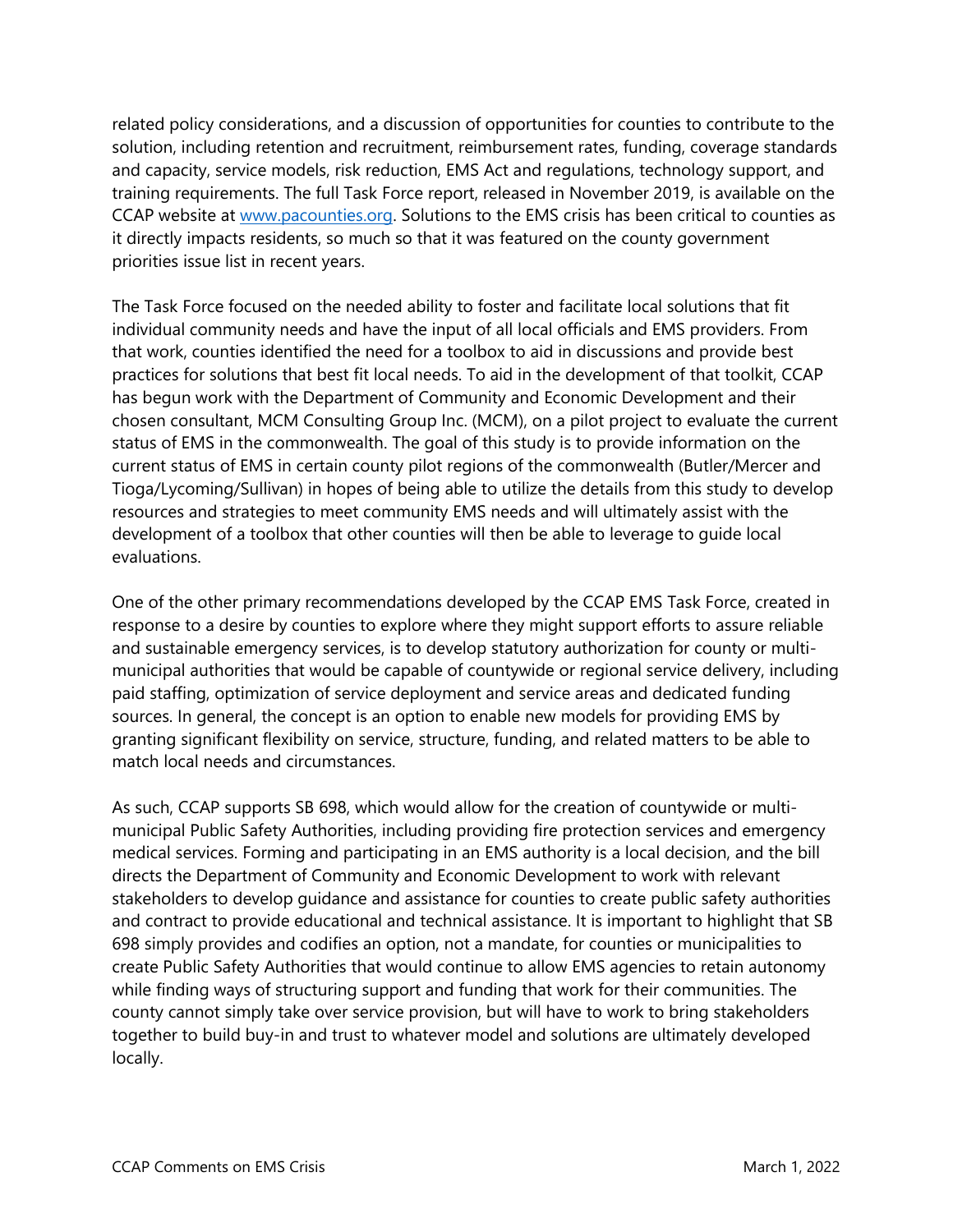related policy considerations, and a discussion of opportunities for counties to contribute to the solution, including retention and recruitment, reimbursement rates, funding, coverage standards and capacity, service models, risk reduction, EMS Act and regulations, technology support, and training requirements. The full Task Force report, released in November 2019, is available on the CCAP website at [www.pacounties.org.](http://www.pacounties.org/) Solutions to the EMS crisis has been critical to counties as it directly impacts residents, so much so that it was featured on the county government priorities issue list in recent years.

The Task Force focused on the needed ability to foster and facilitate local solutions that fit individual community needs and have the input of all local officials and EMS providers. From that work, counties identified the need for a toolbox to aid in discussions and provide best practices for solutions that best fit local needs. To aid in the development of that toolkit, CCAP has begun work with the Department of Community and Economic Development and their chosen consultant, MCM Consulting Group Inc. (MCM), on a pilot project to evaluate the current status of EMS in the commonwealth. The goal of this study is to provide information on the current status of EMS in certain county pilot regions of the commonwealth (Butler/Mercer and Tioga/Lycoming/Sullivan) in hopes of being able to utilize the details from this study to develop resources and strategies to meet community EMS needs and will ultimately assist with the development of a toolbox that other counties will then be able to leverage to guide local evaluations.

One of the other primary recommendations developed by the CCAP EMS Task Force, created in response to a desire by counties to explore where they might support efforts to assure reliable and sustainable emergency services, is to develop statutory authorization for county or multimunicipal authorities that would be capable of countywide or regional service delivery, including paid staffing, optimization of service deployment and service areas and dedicated funding sources. In general, the concept is an option to enable new models for providing EMS by granting significant flexibility on service, structure, funding, and related matters to be able to match local needs and circumstances.

As such, CCAP supports SB 698, which would allow for the creation of countywide or multimunicipal Public Safety Authorities, including providing fire protection services and emergency medical services. Forming and participating in an EMS authority is a local decision, and the bill directs the Department of Community and Economic Development to work with relevant stakeholders to develop guidance and assistance for counties to create public safety authorities and contract to provide educational and technical assistance. It is important to highlight that SB 698 simply provides and codifies an option, not a mandate, for counties or municipalities to create Public Safety Authorities that would continue to allow EMS agencies to retain autonomy while finding ways of structuring support and funding that work for their communities. The county cannot simply take over service provision, but will have to work to bring stakeholders together to build buy-in and trust to whatever model and solutions are ultimately developed locally.